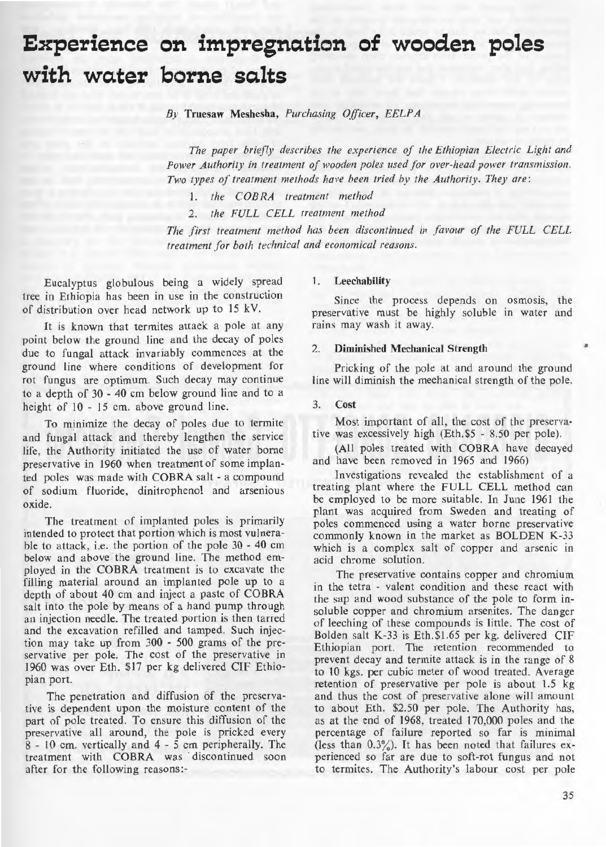# Experience on impregnation of wooden poles **with water borne salts**

*By* Truesaw Meshesha , *Purchasing Officer, EELPA* 

The paper briefly describes the experience of the Ethiopian Electric Light and *Power Authority in treatment of wooden poles used for over-head power transmission. Two types of treatment methods have been tried by the Authority. They are:* 

1. *the COBRA treatment method* 

2. *the FULL CELL treatment method* 

*The first treatment method has been discontinued in favour of the FULL CELL treatment for both technical and economical reasons.* 

Eucalyptus globulous being a widely spread tree in Ethiopia has been in use in the construction of distribution over head network up to 15 kV.

It is known that termites attack a pole at any point below the ground line and the decay of poles due to fungal attack invariably commences at the ground line where conditions of development for rot fungus are optimum. Such decay may continue to a depth of 30 - 40 cm below ground line and to a height of 10 - 15 cm. above ground line.

To minimize the decay of poles due to termite and fungal attack and thereby lengthen the service life, the Authority initiated the use of water borne preservative in 1960 when treatment of some implanted poles was made with COBRA salt - a compound of sodium fluoride, dinitrophenol and arsenious oxide.

The treatment of implanted poles is primarily intended to protect that portion which is most vulnerable to attack, i.e. the portion of the pole 30 - 40 cm below and above the ground line. The method employed in the COBRA treatment is to excavate the filling material around an implanted pole up to a depth of about 40 cm and inject a paste of COBRA salt into the pole by means of a hand pump through an injection needle. The treated portion is then tarred and the excavation refilled and tamped. Such injection may take up from  $300 - 500$  grams of the preservative per pole. The cost of the preservative in 1960 was over Eth. \$17 per kg delivered CIF Ethiopian port.

The penetration and diffusion of the preservative is dependent upon the moisture content of the part of pole treated. To ensure this diffusion of the preservative all around, the pole is pricked every 8 - 10 cm. vertically and 4 - 5 cm peripherally. The treatment with COBRA was discontinued soon after for the following reasons:-

#### I. Leechability

Since the process depends on osmosis, the preservative must be highly soluble in water and rains may wash it away.

## 2. Diminished Mechanical Strength

Pricking of the pole at and around the ground line will diminish the mechanical strength of the pole.

### 3. Cost

Most important of all, the cost of the preservative was excessively high (Eth.\$5 - 8.50 per pole).

(All poles treated with COBRA have decayed and have been removed in 1965 and 1966)

Investigations revealed the establishment of a treating plant where the FULL CELL method can be employed to be more suitable. In June 1961 the plant was acquired from Sweden and treating of poles commenced using a water borne preservative commonly known in the market as BOLDEN K-33 which is a complex salt of copper and arsenic in acid chrome solution.

The preservative contains copper and chromium in the tetra - valent condition and these react with the sap and wood substance of the pole to form insoluble copper and chromium arsenites. The danger of leeching of these compounds is little. The cost of Bolden salt K-33 is Etb.\$1.65 per kg. delivered CIF Ethiopian port. The retention recommended to prevent decay and termite attack is in the range of 8 to 10 kgs. per cubic meter of wood treated. Average retention of preservative per pole is about 1.5 kg and thus the cost of preservative alone will amount to about Eth. \$2.50 per pole. The Authority has, as at the end of 1968, treated 170,000 poles and the percentage of failure reported so far is minimal (less than  $0.3\%$ ). It has been noted that failures experienced so far are due to soft-rot fungus and not to termites. The Authority's labour cost per pole

•